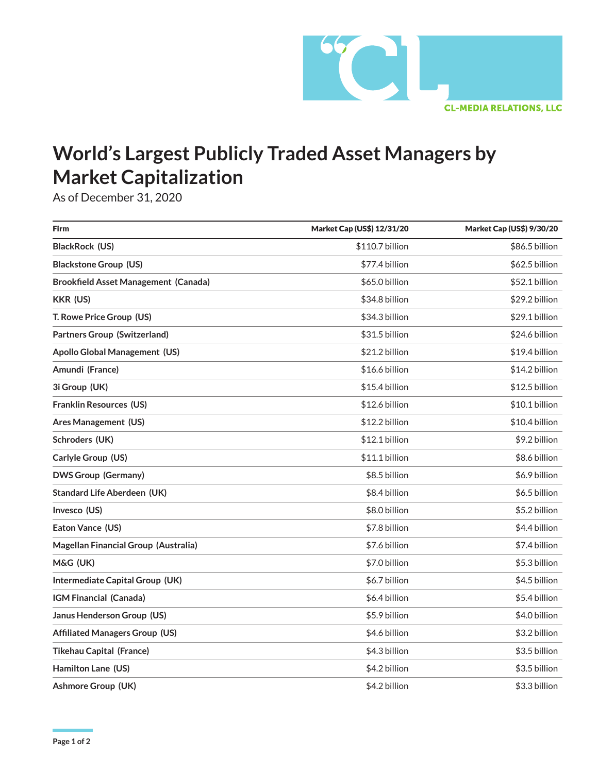

## **World's Largest Publicly Traded Asset Managers by Market Capitalization**

As of December 31, 2020

| <b>Firm</b>                                 | Market Cap (US\$) 12/31/20 | Market Cap (US\$) 9/30/20 |
|---------------------------------------------|----------------------------|---------------------------|
| BlackRock (US)                              | \$110.7 billion            | \$86.5 billion            |
| <b>Blackstone Group (US)</b>                | \$77.4 billion             | \$62.5 billion            |
| <b>Brookfield Asset Management (Canada)</b> | \$65.0 billion             | \$52.1 billion            |
| <b>KKR (US)</b>                             | \$34.8 billion             | \$29.2 billion            |
| T. Rowe Price Group (US)                    | \$34.3 billion             | \$29.1 billion            |
| <b>Partners Group (Switzerland)</b>         | \$31.5 billion             | \$24.6 billion            |
| <b>Apollo Global Management (US)</b>        | \$21.2 billion             | \$19.4 billion            |
| Amundi (France)                             | \$16.6 billion             | \$14.2 billion            |
| 3i Group (UK)                               | \$15.4 billion             | \$12.5 billion            |
| <b>Franklin Resources (US)</b>              | \$12.6 billion             | \$10.1 billion            |
| Ares Management (US)                        | \$12.2 billion             | \$10.4 billion            |
| Schroders (UK)                              | \$12.1 billion             | \$9.2 billion             |
| Carlyle Group (US)                          | \$11.1 billion             | \$8.6 billion             |
| <b>DWS Group (Germany)</b>                  | \$8.5 billion              | \$6.9 billion             |
| <b>Standard Life Aberdeen (UK)</b>          | \$8.4 billion              | \$6.5 billion             |
| Invesco (US)                                | \$8.0 billion              | \$5.2 billion             |
| Eaton Vance (US)                            | \$7.8 billion              | \$4.4 billion             |
| Magellan Financial Group (Australia)        | \$7.6 billion              | \$7.4 billion             |
| M&G (UK)                                    | \$7.0 billion              | \$5.3 billion             |
| Intermediate Capital Group (UK)             | \$6.7 billion              | \$4.5 billion             |
| IGM Financial (Canada)                      | \$6.4 billion              | \$5.4 billion             |
| <b>Janus Henderson Group (US)</b>           | \$5.9 billion              | \$4.0 billion             |
| <b>Affiliated Managers Group (US)</b>       | \$4.6 billion              | \$3.2 billion             |
| <b>Tikehau Capital (France)</b>             | \$4.3 billion              | \$3.5 billion             |
| Hamilton Lane (US)                          | \$4.2 billion              | \$3.5 billion             |
| <b>Ashmore Group (UK)</b>                   | \$4.2 billion              | \$3.3 billion             |